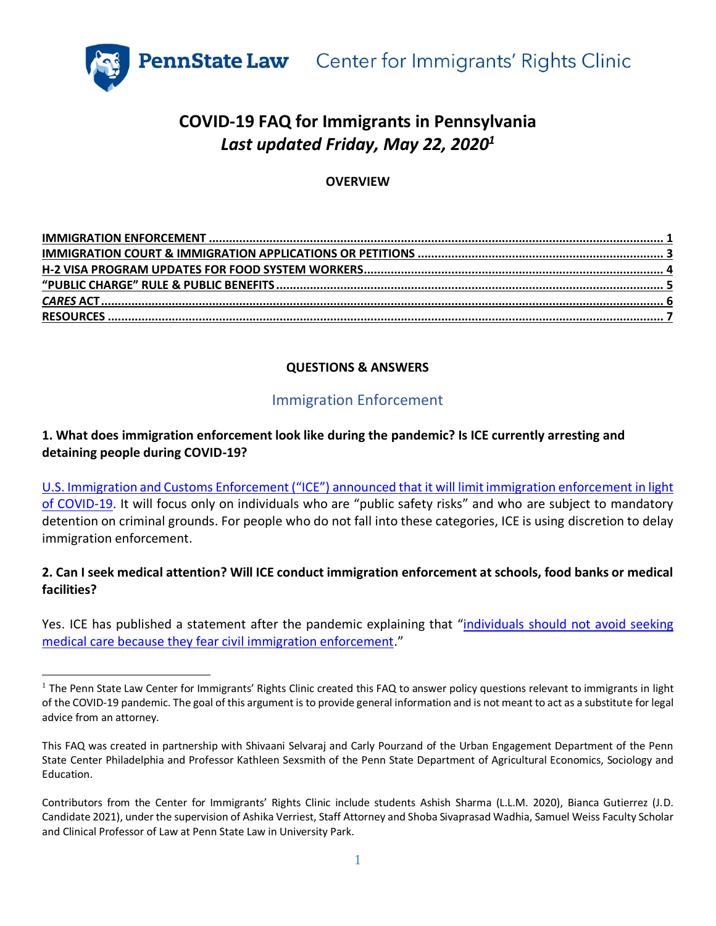

# **COVID-19 FAQ for Immigrants in Pennsylvania** *Last updated Friday, May 22, 2020<sup>1</sup>*

### **OVERVIEW**

## **QUESTIONS & ANSWERS**

## Immigration Enforcement

#### <span id="page-0-0"></span>**1. What does immigration enforcement look like during the pandemic? Is ICE currently arresting and detaining people during COVID-19?**

U.S. Immigration and Customs Enforcement ("ICE") [announced that it will limit immigration enforcement in light](https://www.ice.gov/news/releases/updated-ice-statement-covid-19#wcm-survey-target-id)  [of COVID-19](https://www.ice.gov/news/releases/updated-ice-statement-covid-19#wcm-survey-target-id). It will focus only on individuals who are "public safety risks" and who are subject to mandatory detention on criminal grounds. For people who do not fall into these categories, ICE is using discretion to delay immigration enforcement.

### **2. Can I seek medical attention? Will ICE conduct immigration enforcement at schools, food banks or medical facilities?**

Yes. ICE has published a statement after the pandemic explaining that "individuals should not avoid seeking [medical care because they fear civil immigration enforcement](https://www.ice.gov/news/releases/updated-ice-statement-covid-19#wcm-survey-target-id)."

 $<sup>1</sup>$  The Penn State Law Center for Immigrants' Rights Clinic created this FAQ to answer policy questions relevant to immigrants in light</sup> of the COVID-19 pandemic. The goal of this argument is to provide general information and is not meant to act as a substitute for legal advice from an attorney.

This FAQ was created in partnership with Shivaani Selvaraj and Carly Pourzand of the Urban Engagement Department of the Penn State Center Philadelphia and Professor Kathleen Sexsmith of the Penn State Department of Agricultural Economics, Sociology and Education.

Contributors from the Center for Immigrants' Rights Clinic include students Ashish Sharma (L.L.M. 2020), Bianca Gutierrez (J.D. Candidate 2021), under the supervision of Ashika Verriest, Staff Attorney and Shoba Sivaprasad Wadhia, Samuel Weiss Faculty Scholar and Clinical Professor of Law at Penn State Law in University Park.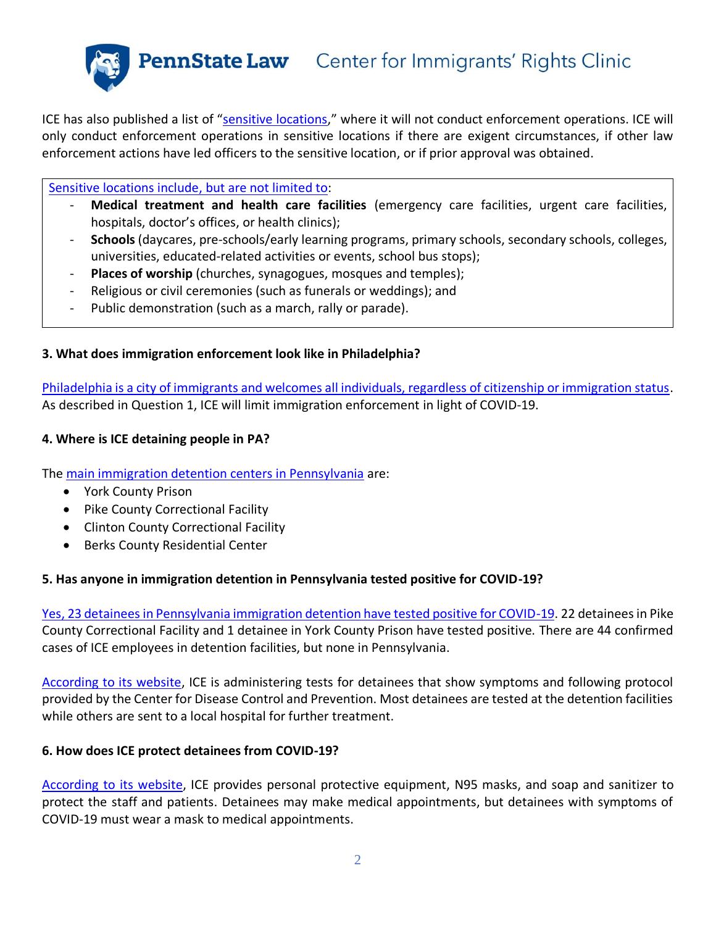ICE has also published a list of "[sensitive locations,](https://www.ice.gov/ero/enforcement/sensitive-loc)" where it will not conduct enforcement operations. ICE will only conduct enforcement operations in sensitive locations if there are exigent circumstances, if other law enforcement actions have led officers to the sensitive location, or if prior approval was obtained.

[Sensitive locations include, but are not limited to:](https://www.ice.gov/ero/enforcement/sensitive-loc)

- **Medical treatment and health care facilities** (emergency care facilities, urgent care facilities, hospitals, doctor's offices, or health clinics);
- **Schools** (daycares, pre-schools/early learning programs, primary schools, secondary schools, colleges, universities, educated-related activities or events, school bus stops);
- **Places of worship** (churches, synagogues, mosques and temples);
- Religious or civil ceremonies (such as funerals or weddings); and
- Public demonstration (such as a march, rally or parade).

### **3. What does immigration enforcement look like in Philadelphia?**

[Philadelphia is a city of immigrants and welcomes all individuals, regardless of citizenship or immigration status.](https://www.phila.gov/2018-01-08-immigration-policies/) As described in Question 1, ICE will limit immigration enforcement in light of COVID-19.

#### **4. Where is ICE detaining people in PA?**

The [main immigration detention centers in Pennsylvania](https://www.ice.gov/detention-facilities#wcm-survey-target-id) are:

- York County Prison
- Pike County Correctional Facility
- Clinton County Correctional Facility
- Berks County Residential Center

#### **5. Has anyone in immigration detention in Pennsylvania tested positive for COVID-19?**

Yes, 23 [detainees in Pennsylvania immigration detention have tested positive for COVID-19.](https://www.ice.gov/coronavirus) 22 detainees in Pike County Correctional Facility and 1 detainee in York County Prison have tested positive. There are 44 confirmed cases of ICE employees in detention facilities, but none in Pennsylvania.

[According to its website,](https://www.ice.gov/coronavirus) ICE is administering tests for detainees that show symptoms and following protocol provided by the Center for Disease Control and Prevention. Most detainees are tested at the detention facilities while others are sent to a local hospital for further treatment.

#### **6. How does ICE protect detainees from COVID-19?**

[According to its website,](https://www.ice.gov/coronavirus) ICE provides personal protective equipment, N95 masks, and soap and sanitizer to protect the staff and patients. Detainees may make medical appointments, but detainees with symptoms of COVID-19 must wear a mask to medical appointments.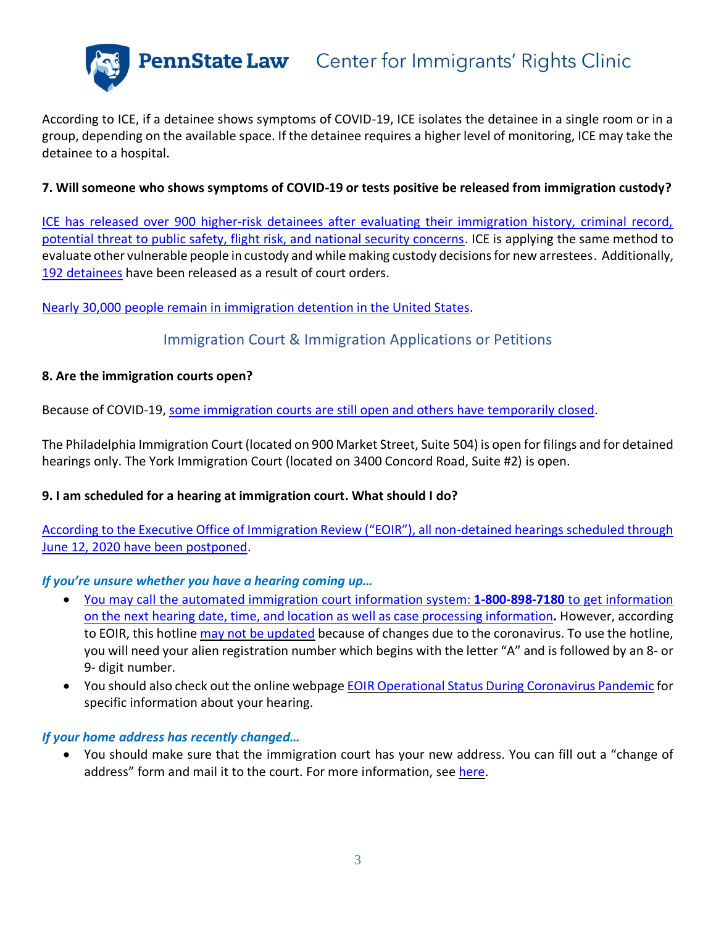

According to ICE, if a detainee shows symptoms of COVID-19, ICE isolates the detainee in a single room or in a group, depending on the available space. If the detainee requires a higher level of monitoring, ICE may take the detainee to a hospital.

#### **7. Will someone who shows symptoms of COVID-19 or tests positive be released from immigration custody?**

[ICE has released over 900 higher-risk detainees after evaluating their immigration history, criminal record,](https://www.ice.gov/coronavirus)  [potential threat to public safety, flight risk, and national security concerns.](https://www.ice.gov/coronavirus) ICE is applying the same method to evaluate other vulnerable people in custody and while making custody decisions for new arrestees. Additionally, [192 detainees](https://www.ice.gov/coronavirus) have been released as a result of court orders.

#### <span id="page-2-0"></span>Nearly 30,000 people [remain in immigration detention in the United States.](https://www.ice.gov/detention-management)

## Immigration Court & Immigration Applications or Petitions

#### **8. Are the immigration courts open?**

Because of COVID-19, [some immigration courts are still open and others](https://www.justice.gov/eoir/eoir-operational-status-during-coronavirus-pandemic) have temporarily closed.

The Philadelphia Immigration Court (located on 900 Market Street, Suite 504) is open for filings and for detained hearings only. The York Immigration Court (located on 3400 Concord Road, Suite #2) is open.

#### **9. I am scheduled for a hearing at immigration court. What should I do?**

[According to the Executive Office of Immigration Review \("EOIR"\), all non](https://www.justice.gov/eoir/eoir-operational-status-during-coronavirus-pandemic)-detained hearings scheduled through [June 12, 2020 have been postponed.](https://www.justice.gov/eoir/eoir-operational-status-during-coronavirus-pandemic)

#### *If you're unsure whether you have a hearing coming up…*

- You may call the automated immigration court information system: **[1-800-898-7180](https://www.justice.gov/eoir/customer-service-initiatives)** to get information on the next hearing date, time, and location as well as case processing [information](https://www.justice.gov/eoir/customer-service-initiatives)**.** However, according to EOIR, this hotline may not be [updated](https://www.justice.gov/eoir/eoir-operational-status-during-coronavirus-pandemic) because of changes due to the coronavirus. To use the hotline, you will need your alien registration number which begins with the letter "A" and is followed by an 8- or 9- digit number.
- You should also check out the online webpage EOIR Operational Status During [Coronavirus](https://www.justice.gov/eoir/eoir-operational-status-during-coronavirus-pandemic) Pandemic for specific information about your hearing.

#### *If your home address has recently changed…*

• You should make sure that the immigration court has your new address. You can fill out a "change of address" form and mail it to the court. For more information, see [here.](https://www.justice.gov/eoir/form-eoir-33-eoir-immigration-court-listing#Pennsylvania)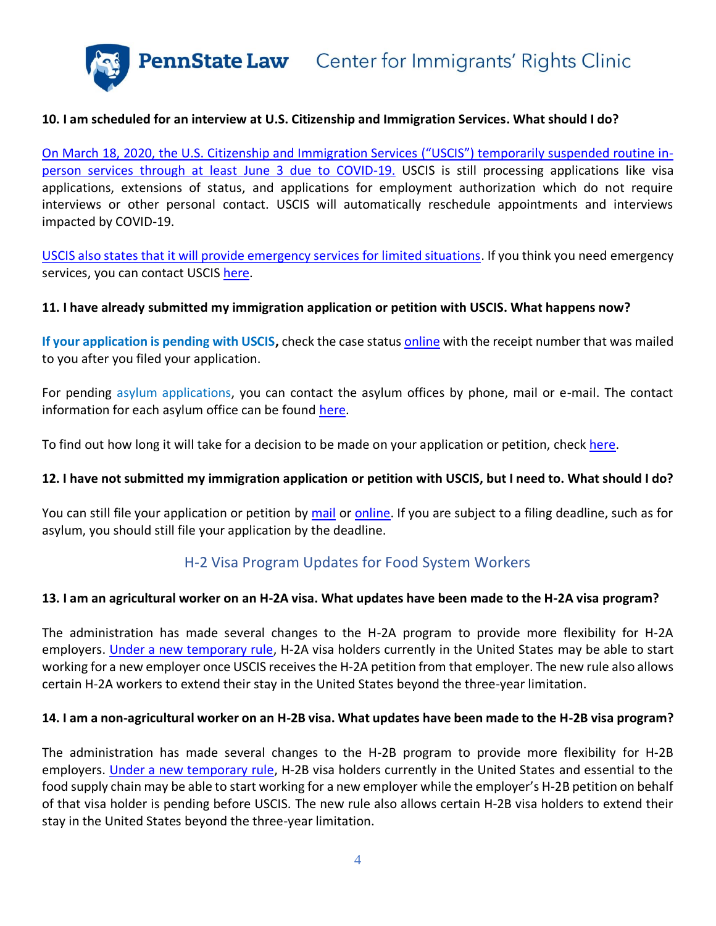#### **10. I am scheduled for an interview at U.S. Citizenship and Immigration Services. What should I do?**

On March 18, 2020, [the U.S. Citizenship and Immigration Services](https://www.uscis.gov/about-us/uscis-response-covid-19) ("USCIS") temporarily suspended routine in[person services through at least June](https://www.uscis.gov/about-us/uscis-response-covid-19) 3 due to COVID-19. USCIS is still processing applications like visa applications, extensions of status, and applications for employment authorization which do not require interviews or other personal contact. USCIS will automatically reschedule appointments and interviews impacted by COVID-19.

USCIS also states that it [will provide emergency services for limited situations.](https://www.uscis.gov/about-us/uscis-response-covid-19) If you think you need emergency services, you can contact USCIS [here.](https://www.uscis.gov/contactcenter)

#### **11. I have already submitted my immigration application or petition with USCIS. What happens now?**

**If your application is pending with USCIS,** check the case statu[s online](https://egov.uscis.gov/casestatus/landing.do) with the receipt number that was mailed to you after you filed your application.

For pending asylum applications, you can contact the asylum offices by phone, mail or e-mail. The contact information for each asylum office can be found [here.](https://egov.uscis.gov/office-locator/#/asy)

To find out how long it will take for a decision to be made on your application or petition, check [here.](https://egov.uscis.gov/processing-times/)

#### **12. I have not submitted my immigration application or petition with USCIS, but I need to. What should I do?**

<span id="page-3-0"></span>You can still file your application or petition by [mail](https://www.uscis.gov/forms) or [online.](https://www.uscis.gov/forms/file-online) If you are subject to a filing deadline, such as for asylum, you should still file your application by the deadline.

#### H-2 Visa Program Updates for Food System Workers

#### **13. I am an agricultural worker on an H-2A visa. What updates have been made to the H-2A visa program?**

The administration has made several changes to the H-2A program to provide more flexibility for H-2A employers. [Under a new temporary rule,](https://www.uscis.gov/about-us/uscis-response-covid-19) H-2A visa holders currently in the United States may be able to start working for a new employer once USCIS receives the H-2A petition from that employer. The new rule also allows certain H-2A workers to extend their stay in the United States beyond the three-year limitation.

#### **14. I am a non-agricultural worker on an H-2B visa. What updates have been made to the H-2B visa program?**

The administration has made several changes to the H-2B program to provide more flexibility for H-2B employers. [Under a new temporary rule,](https://www.uscis.gov/news/news-releases/dhs-offers-flexibilities-increase-food-security-stabilize-us-supply-chain-during-covid-19) H-2B visa holders currently in the United States and essential to the food supply chain may be able to start working for a new employer while the employer's H-2B petition on behalf of that visa holder is pending before USCIS. The new rule also allows certain H-2B visa holders to extend their stay in the United States beyond the three-year limitation.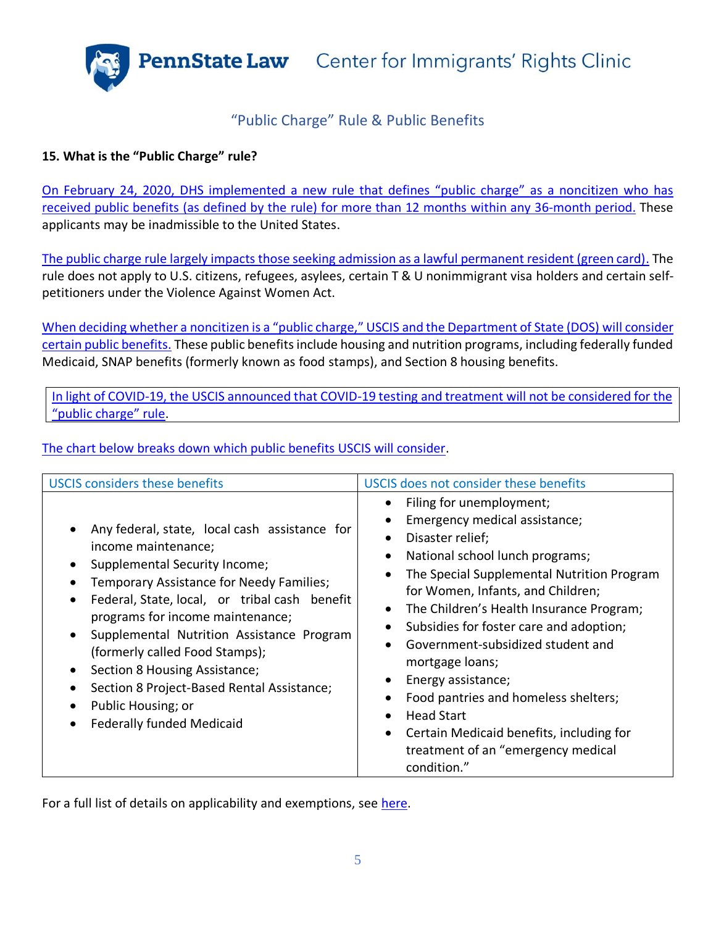## "Public Charge" Rule & Public Benefits

#### <span id="page-4-0"></span>**15. What is the "Public Charge" rule?**

[On February 24, 2020, DHS implemented a new rule that](https://www.uscis.gov/news/public-charge-fact-sheet) defines "public charge" as a noncitizen who has received public benefits (as defined by the rule) for more than 12 months [within any 36-month period.](https://www.uscis.gov/news/public-charge-fact-sheet) These applicants may be inadmissible to the United States.

[The public charge rule largely impacts those seeking admission as a lawful permanent resident \(green card\).](https://www.uscis.gov/news/public-charge-fact-sheet) The rule does not apply to U.S. citizens, refugees, asylees, certain T & U nonimmigrant visa holders and certain selfpetitioners under the Violence Against Women Act.

When deciding whether a noncitizen is a "public charge," USCIS [and the Department of State \(DOS\) will consider](https://www.uscis.gov/news/public-charge-fact-sheet)  [certain public benefits.](https://www.uscis.gov/news/public-charge-fact-sheet) These public benefits include housing and nutrition programs, including federally funded Medicaid, SNAP benefits (formerly known as food stamps), and Section 8 housing benefits.

[In light of COVID-19, the USCIS announced that COVID-19 testing](https://www.uscis.gov/green-card/green-card-processes-and-procedures/public-charge) and treatment will not be considered for the "public c[harge" rule](https://www.uscis.gov/green-card/green-card-processes-and-procedures/public-charge).

[The chart below breaks down which public benefits USCIS will consider.](https://www.uscis.gov/green-card/green-card-processes-and-procedures/public-charge)

| <b>USCIS considers these benefits</b>                                                                                                                                                                                                                                                                                                                                                                                                                          | USCIS does not consider these benefits                                                                                                                                                                                                                                                                                                                                                                                                                                                                                                                                                               |
|----------------------------------------------------------------------------------------------------------------------------------------------------------------------------------------------------------------------------------------------------------------------------------------------------------------------------------------------------------------------------------------------------------------------------------------------------------------|------------------------------------------------------------------------------------------------------------------------------------------------------------------------------------------------------------------------------------------------------------------------------------------------------------------------------------------------------------------------------------------------------------------------------------------------------------------------------------------------------------------------------------------------------------------------------------------------------|
| Any federal, state, local cash assistance for<br>income maintenance;<br>Supplemental Security Income;<br>Temporary Assistance for Needy Families;<br>Federal, State, local, or tribal cash benefit<br>programs for income maintenance;<br>Supplemental Nutrition Assistance Program<br>(formerly called Food Stamps);<br>Section 8 Housing Assistance;<br>Section 8 Project-Based Rental Assistance;<br>Public Housing; or<br><b>Federally funded Medicaid</b> | Filing for unemployment;<br>$\bullet$<br>Emergency medical assistance;<br>Disaster relief;<br>National school lunch programs;<br>٠<br>The Special Supplemental Nutrition Program<br>$\bullet$<br>for Women, Infants, and Children;<br>The Children's Health Insurance Program;<br>Subsidies for foster care and adoption;<br>$\bullet$<br>Government-subsidized student and<br>mortgage loans;<br>Energy assistance;<br>٠<br>Food pantries and homeless shelters;<br><b>Head Start</b><br>Certain Medicaid benefits, including for<br>$\bullet$<br>treatment of an "emergency medical<br>condition." |

For a full list of details on applicability and exemptions, see [here.](https://www.uscis.gov/green-card/green-card-processes-and-procedures/public-charge)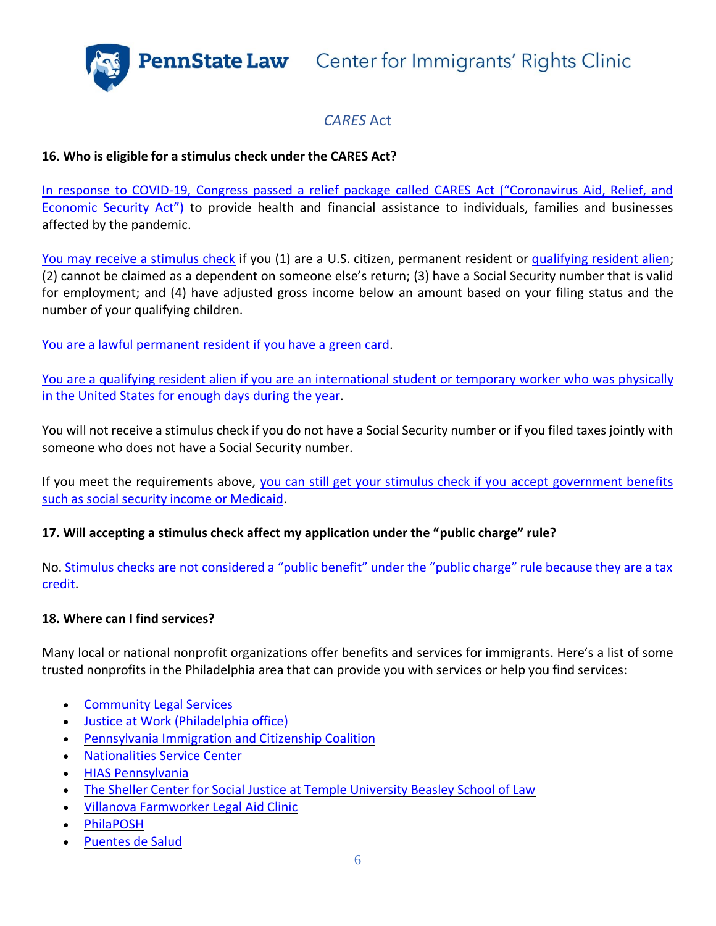## *CARES* Act

#### <span id="page-5-0"></span>**16. Who is eligible for a stimulus check under the CARES Act?**

In response to COVID-[19, Congress passed a relief package called CARES Act \("Coronavirus Aid, Relief, and](https://www.congress.gov/bill/116th-congress/house-bill/748/text#toc-H2040EA1CEA4340D399582A1C24055660)  [Economic Security Act"\)](https://www.congress.gov/bill/116th-congress/house-bill/748/text#toc-H2040EA1CEA4340D399582A1C24055660) to provide health and financial assistance to individuals, families and businesses affected by the pandemic.

[You may receive a stimulus check](https://www.irs.gov/coronavirus/economic-impact-payment-information-center) if you (1) are a U.S. citizen, permanent resident or [qualifying resident alien;](https://www.irs.gov/individuals/international-taxpayers/determining-alien-tax-status) (2) cannot be claimed as a dependent on someone else's return; (3) have a Social Security number that is valid for employment; and (4) have adjusted gross income below an amount based on your filing status and the number of your qualifying children.

[You are a lawful permanent resident if you have](https://www.irs.gov/individuals/international-taxpayers/alien-residency-green-card-test) a green card.

You are a qualifying resident alien [if you are an international student or temporary worker](https://www.irs.gov/individuals/international-taxpayers/substantial-presence-test) who was physically [in the United States for enough days during the year.](https://www.irs.gov/individuals/international-taxpayers/substantial-presence-test)

You will not receive a stimulus check if you do not have a Social Security number or if you filed taxes jointly with someone who does not have a Social Security number.

If you meet the requirements above, [you can still get your stimulus check if you](https://www.irs.gov/coronavirus/economic-impact-payment-information-center) accept government benefits [such as social security income or Medicaid.](https://www.irs.gov/coronavirus/economic-impact-payment-information-center)

#### **17. Will accepting a stimulus check affect my application under the "public charge" rule?**

No. [Stimulus checks are not considered a "public benefit" under the "public charge" rule because they are a tax](https://www.uscis.gov/news/public-charge-fact-sheet)  [credit.](https://www.uscis.gov/news/public-charge-fact-sheet)

#### **18. Where can I find services?**

Many local or national nonprofit organizations offer benefits and services for immigrants. Here's a list of some trusted nonprofits in the Philadelphia area that can provide you with services or help you find services:

- [Community](https://clsphila.org/services/public-benefits/) Legal Services
- Justice at Work [\(Philadelphia](https://www.justiceatworklegalaid.org/) office)
- [Pennsylvania](https://paimmigrant.org/2020/04/pa-covid-19-resources/) Immigration and Citizenship Coalition
- [Nationalities](https://nscphila.org/) Service Center
- HIAS [Pennsylvania](https://hiaspa.org/)
- The Sheller Center for Social Justice at Temple [University](https://www2.law.temple.edu/csj/?_ga=2.142636085.1271705581.1589475008-770955688.1589475008) Beasley School of Law
- Villanova [Farmworker](https://www1.villanova.edu/villanova/law/clinic/prospclients/FarmworkerClinic.html) Legal Aid Clinic
- [PhilaPOSH](https://philaposh.org/)
- [Puentes](https://www.puentesdesalud.org/) de Salud